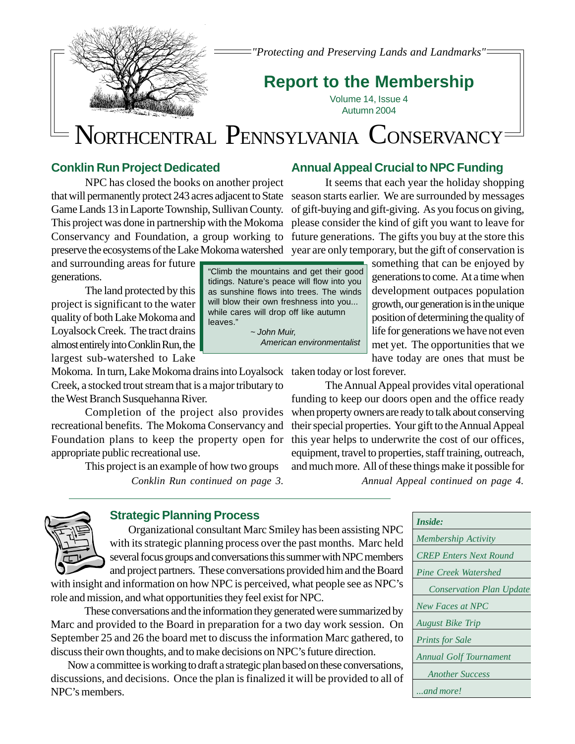

*"Protecting and Preserving Lands and Landmarks"*

## **Report to the Membership**

Volume 14, Issue 4 Autumn 2004

# NORTHCENTRAL PENNSYLVANIA CONSERVANCY

## **Conklin Run Project Dedicated**

NPC has closed the books on another project Game Lands 13 in Laporte Township, Sullivan County. preserve the ecosystems of the Lake Mokoma watershed year are only temporary, but the gift of conservation is

and surrounding areas for future generations.

The land protected by this project is significant to the water quality of both Lake Mokoma and Loyalsock Creek. The tract drains almost entirely into Conklin Run, the largest sub-watershed to Lake

Mokoma. In turn, Lake Mokoma drains into Loyalsock taken today or lost forever. Creek, a stocked trout stream that is a major tributary to the West Branch Susquehanna River.

Completion of the project also provides recreational benefits. The Mokoma Conservancy and Foundation plans to keep the property open for this year helps to underwrite the cost of our offices, appropriate public recreational use.

This project is an example of how two groups

*Conklin Run continued on page 3.*

## **Annual Appeal Crucial to NPC Funding**

that will permanently protect 243 acres adjacent to State season starts earlier. We are surrounded by messages This project was done in partnership with the Mokoma please consider the kind of gift you want to leave for Conservancy and Foundation, a group working to future generations. The gifts you buy at the store this It seems that each year the holiday shopping of gift-buying and gift-giving. As you focus on giving,

something that can be enjoyed by generations to come. At a time when development outpaces population growth, our generation is in the unique position of determining the quality of life for generations we have not even met yet. The opportunities that we have today are ones that must be

The Annual Appeal provides vital operational funding to keep our doors open and the office ready when property owners are ready to talk about conserving their special properties. Your gift to the Annual Appeal equipment, travel to properties, staff training, outreach, and much more. All of these things make it possible for

*Annual Appeal continued on page 4.*



## **Strategic Planning Process**

 Organizational consultant Marc Smiley has been assisting NPC with its strategic planning process over the past months. Marc held several focus groups and conversations this summer with NPC members and project partners. These conversations provided him and the Board

with insight and information on how NPC is perceived, what people see as NPC's role and mission, and what opportunities they feel exist for NPC.

These conversations and the information they generated were summarized by Marc and provided to the Board in preparation for a two day work session. On September 25 and 26 the board met to discuss the information Marc gathered, to discuss their own thoughts, and to make decisions on NPC's future direction.

Now a committee is working to draft a strategic plan based on these conversations, discussions, and decisions. Once the plan is finalized it will be provided to all of NPC's members.

*Inside: Membership Activity CREP Enters Next Round Pine Creek Watershed Conservation Plan Update New Faces at NPC August Bike Trip Prints for Sale Annual Golf Tournament Another Success ...and more!*

"Climb the mountains and get their good tidings. Nature's peace will flow into you as sunshine flows into trees. The winds will blow their own freshness into you... while cares will drop off like autumn leaves." ~ John Muir,

American environmentalist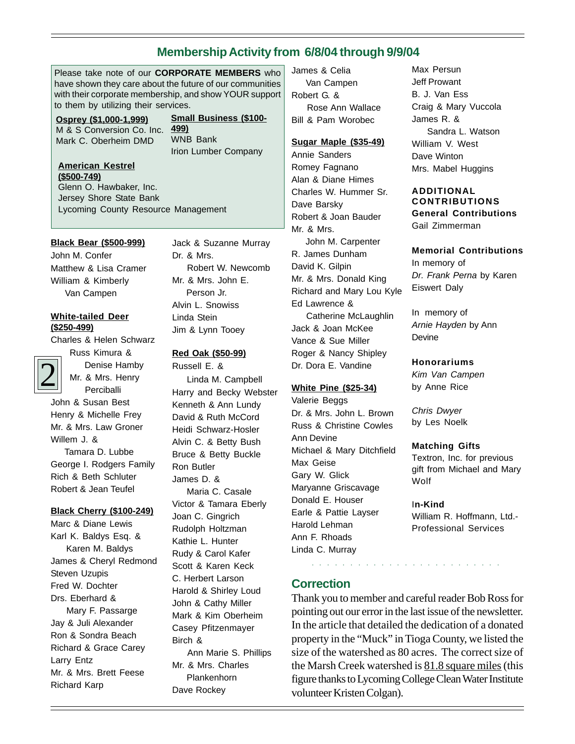## **Membership Activity from 6/8/04 through 9/9/04**

Please take note of our **CORPORATE MEMBERS** who have shown they care about the future of our communities with their corporate membership, and show YOUR support to them by utilizing their services.

**Osprey (\$1,000-1,999)** M & S Conversion Co. Inc. Mark C. Oberheim DMD

**Small Business (\$100- 499)** WNB Bank Irion Lumber Company

#### **American Kestrel (\$500-749)**

Glenn O. Hawbaker, Inc. Jersey Shore State Bank Lycoming County Resource Management

#### **Black Bear (\$500-999)**

John M. Confer Matthew & Lisa Cramer William & Kimberly Van Campen

#### **White-tailed Deer (\$250-499)**

Charles & Helen Schwarz

Russ Kimura & Denise Hamby Mr. & Mrs. Henry Perciballi

2 John & Susan Best Henry & Michelle Frey Mr. & Mrs. Law Groner Willem J. & Tamara D. Lubbe George I. Rodgers Family Rich & Beth Schluter

#### **Black Cherry (\$100-249)**

Robert & Jean Teufel

Marc & Diane Lewis Karl K. Baldys Esq. & Karen M. Baldys James & Cheryl Redmond Steven Uzupis Fred W. Dochter Drs. Eberhard & Mary F. Passarge Jay & Juli Alexander Ron & Sondra Beach Richard & Grace Carey Larry Entz Mr. & Mrs. Brett Feese Richard Karp

Jack & Suzanne Murray Dr. & Mrs. Robert W. Newcomb Mr. & Mrs. John E. Person Jr. Alvin L. Snowiss Linda Stein Jim & Lynn Tooey

**Red Oak (\$50-99)** Russell E. & Linda M. Campbell Harry and Becky Webster Kenneth & Ann Lundy David & Ruth McCord Heidi Schwarz-Hosler Alvin C. & Betty Bush Bruce & Betty Buckle Ron Butler James D. & Maria C. Casale Victor & Tamara Eberly Joan C. Gingrich Rudolph Holtzman Kathie L. Hunter Rudy & Carol Kafer Scott & Karen Keck C. Herbert Larson Harold & Shirley Loud John & Cathy Miller Mark & Kim Oberheim Casey Pfitzenmayer Birch & Ann Marie S. Phillips Mr. & Mrs. Charles Plankenhorn Dave Rockey

James & Celia Van Campen Robert G. & Rose Ann Wallace Bill & Pam Worobec

#### **Sugar Maple (\$35-49)**

Annie Sanders Romey Fagnano Alan & Diane Himes Charles W. Hummer Sr. Dave Barsky Robert & Joan Bauder Mr. & Mrs. John M. Carpenter R. James Dunham

David K. Gilpin Mr. & Mrs. Donald King Richard and Mary Lou Kyle Ed Lawrence & Catherine McLaughlin Jack & Joan McKee Vance & Sue Miller Roger & Nancy Shipley Dr. Dora E. Vandine

#### **White Pine (\$25-34)**

Valerie Beggs Dr. & Mrs. John L. Brown Russ & Christine Cowles Ann Devine Michael & Mary Ditchfield Max Geise Gary W. Glick Maryanne Griscavage Donald E. Houser Earle & Pattie Layser Harold Lehman Ann F. Rhoads Linda C. Murray

## **Correction**

Thank you to member and careful reader Bob Ross for pointing out our error in the last issue of the newsletter. In the article that detailed the dedication of a donated property in the "Muck" in Tioga County, we listed the size of the watershed as 80 acres. The correct size of the Marsh Creek watershed is 81.8 square miles (this figure thanks to Lycoming College Clean Water Institute volunteer Kristen Colgan).

Max Persun Jeff Prowant B. J. Van Ess Craig & Mary Vuccola James R. & Sandra L. Watson William V. West Dave Winton Mrs. Mabel Huggins

## **ADDITIONAL CONTRIBUTIONS General Contributions**

Gail Zimmerman

#### **Memorial Contributions**

In memory of Dr. Frank Perna by Karen Eiswert Daly

In memory of Arnie Hayden by Ann Devine

#### **Honorariums**

Kim Van Campen by Anne Rice

Chris Dwyer by Les Noelk

#### **Matching Gifts**

Textron, Inc. for previous gift from Michael and Mary **Wolf** 

#### I**n-Kind**

○○○○○○○○○○○○○○○○ ○○○○○○○○○

William R. Hoffmann, Ltd.- Professional Services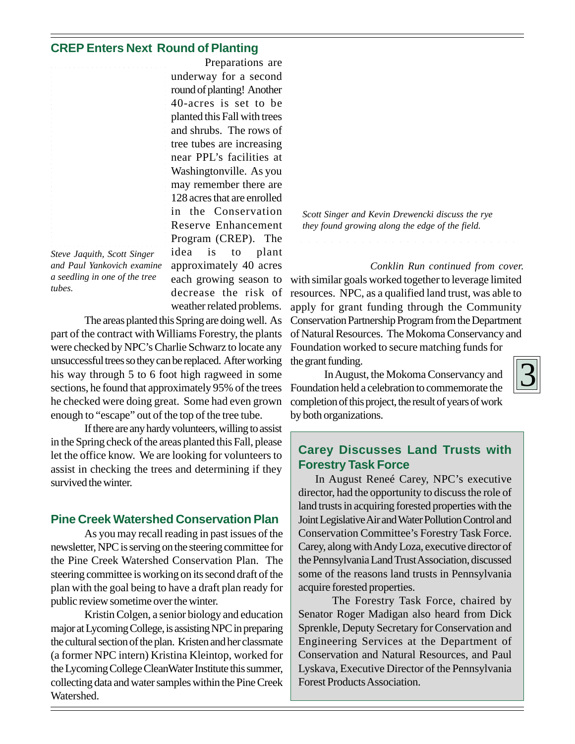## **CREP Enters Next Round of Planting**

|                            | U                        |
|----------------------------|--------------------------|
|                            |                          |
|                            | $\mathbf{r}$             |
|                            |                          |
|                            | $\overline{\mathcal{A}}$ |
|                            |                          |
|                            | $\mathbf{r}$             |
|                            |                          |
|                            | a                        |
|                            |                          |
|                            | t.                       |
|                            |                          |
|                            | $\mathbf{r}$             |
|                            |                          |
|                            | Ī                        |
|                            |                          |
|                            | $\mathbf{r}$             |
|                            | $\mathbf{1}$             |
|                            |                          |
|                            | $\mathbf{i}$             |
|                            |                          |
|                            | $\mathbf{F}$             |
|                            | F                        |
|                            |                          |
| Stave Laquith Scott Singer | $\mathbf{i}$             |

*Steve Jaquith, Scott Singer and Paul Yankovich examine a seedling in one of the tree tubes.*

Preparations are underway for a second round of planting! Another 40-acres is set to be planted this Fall with trees and shrubs. The rows of tree tubes are increasing near PPL's facilities at Washingtonville. As you may remember there are 128 acres that are enrolled in the Conservation Reserve Enhancement Program (CREP). The idea is to plant approximately 40 acres each growing season to decrease the risk of weather related problems.

The areas planted this Spring are doing well. As part of the contract with Williams Forestry, the plants were checked by NPC's Charlie Schwarz to locate any unsuccessful trees so they can be replaced. After working his way through 5 to 6 foot high ragweed in some sections, he found that approximately 95% of the trees he checked were doing great. Some had even grown enough to "escape" out of the top of the tree tube.

If there are any hardy volunteers, willing to assist in the Spring check of the areas planted this Fall, please let the office know. We are looking for volunteers to assist in checking the trees and determining if they survived the winter.

## **Pine Creek Watershed Conservation Plan**

As you may recall reading in past issues of the newsletter, NPC is serving on the steering committee for the Pine Creek Watershed Conservation Plan. The steering committee is working on its second draft of the plan with the goal being to have a draft plan ready for public review sometime over the winter.

Kristin Colgen, a senior biology and education major at Lycoming College, is assisting NPC in preparing the cultural section of the plan. Kristen and her classmate (a former NPC intern) Kristina Kleintop, worked for the Lycoming College CleanWater Institute this summer, collecting data and water samples within the Pine Creek Watershed.

*Scott Singer and Kevin Drewencki discuss the rye they found growing along the edge of the field.*

*Conklin Run continued from cover.* with similar goals worked together to leverage limited resources. NPC, as a qualified land trust, was able to apply for grant funding through the Community Conservation Partnership Program from the Department of Natural Resources. The Mokoma Conservancy and Foundation worked to secure matching funds for the grant funding.

In August, the Mokoma Conservancy and Foundation held a celebration to commemorate the completion of this project, the result of years of work by both organizations.

## **Carey Discusses Land Trusts with Forestry Task Force**

In August Reneé Carey, NPC's executive director, had the opportunity to discuss the role of land trusts in acquiring forested properties with the Joint Legislative Air and Water Pollution Control and Conservation Committee's Forestry Task Force. Carey, along with Andy Loza, executive director of the Pennsylvania Land Trust Association, discussed some of the reasons land trusts in Pennsylvania acquire forested properties.

The Forestry Task Force, chaired by Senator Roger Madigan also heard from Dick Sprenkle, Deputy Secretary for Conservation and Engineering Services at the Department of Conservation and Natural Resources, and Paul Lyskava, Executive Director of the Pennsylvania Forest Products Association.

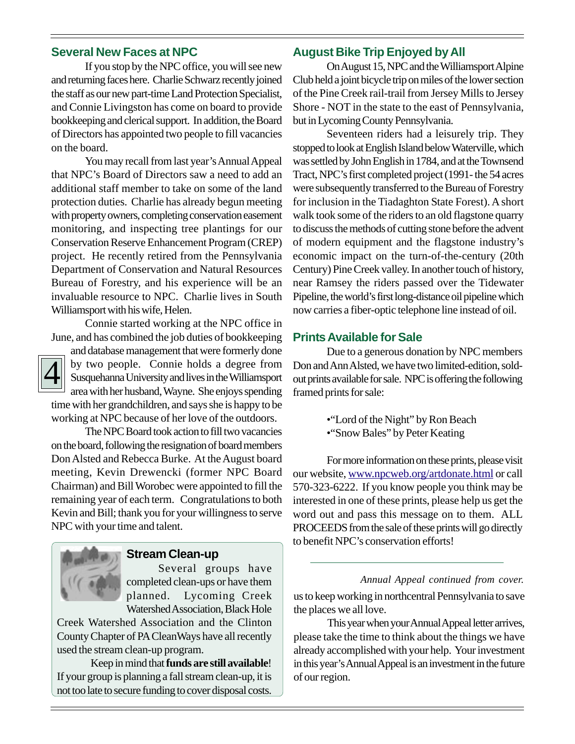## **Several New Faces at NPC**

If you stop by the NPC office, you will see new and returning faces here. Charlie Schwarz recently joined the staff as our new part-time Land Protection Specialist, and Connie Livingston has come on board to provide bookkeeping and clerical support. In addition, the Board of Directors has appointed two people to fill vacancies on the board.

You may recall from last year's Annual Appeal that NPC's Board of Directors saw a need to add an additional staff member to take on some of the land protection duties. Charlie has already begun meeting with property owners, completing conservation easement monitoring, and inspecting tree plantings for our Conservation Reserve Enhancement Program (CREP) project. He recently retired from the Pennsylvania Department of Conservation and Natural Resources Bureau of Forestry, and his experience will be an invaluable resource to NPC. Charlie lives in South Williamsport with his wife, Helen.

Connie started working at the NPC office in June, and has combined the job duties of bookkeeping



and database management that were formerly done by two people. Connie holds a degree from Susquehanna University and lives in the Williamsport area with her husband, Wayne. She enjoys spending time with her grandchildren, and says she is happy to be working at NPC because of her love of the outdoors.

The NPC Board took action to fill two vacancies on the board, following the resignation of board members Don Alsted and Rebecca Burke. At the August board meeting, Kevin Drewencki (former NPC Board Chairman) and Bill Worobec were appointed to fill the remaining year of each term. Congratulations to both Kevin and Bill; thank you for your willingness to serve NPC with your time and talent.



#### **Stream Clean-up**

Several groups have completed clean-ups or have them planned. Lycoming Creek Watershed Association, Black Hole

Creek Watershed Association and the Clinton County Chapter of PA CleanWays have all recently used the stream clean-up program.

Keep in mind that **funds are still available**! If your group is planning a fall stream clean-up, it is not too late to secure funding to cover disposal costs.

## **August Bike Trip Enjoyed by All**

On August 15, NPC and the Williamsport Alpine Club held a joint bicycle trip on miles of the lower section of the Pine Creek rail-trail from Jersey Mills to Jersey Shore - NOT in the state to the east of Pennsylvania, but in Lycoming County Pennsylvania.

Seventeen riders had a leisurely trip. They stopped to look at English Island below Waterville, which was settled by John English in 1784, and at the Townsend Tract, NPC's first completed project (1991- the 54 acres were subsequently transferred to the Bureau of Forestry for inclusion in the Tiadaghton State Forest). A short walk took some of the riders to an old flagstone quarry to discuss the methods of cutting stone before the advent of modern equipment and the flagstone industry's economic impact on the turn-of-the-century (20th Century) Pine Creek valley. In another touch of history, near Ramsey the riders passed over the Tidewater Pipeline, the world's first long-distance oil pipeline which now carries a fiber-optic telephone line instead of oil.

### **Prints Available for Sale**

Due to a generous donation by NPC members Don and Ann Alsted, we have two limited-edition, soldout prints available for sale. NPC is offering the following framed prints for sale:

- •"Lord of the Night" by Ron Beach
- •"Snow Bales" by Peter Keating

For more information on these prints, please visit our website, www.npcweb.org/artdonate.html or call 570-323-6222. If you know people you think may be interested in one of these prints, please help us get the word out and pass this message on to them. ALL PROCEEDS from the sale of these prints will go directly to benefit NPC's conservation efforts!

us to keep working in northcentral Pennsylvania to save the places we all love. *Annual Appeal continued from cover.*

This year when your Annual Appeal letter arrives, please take the time to think about the things we have already accomplished with your help. Your investment in this year's Annual Appeal is an investment in the future of our region.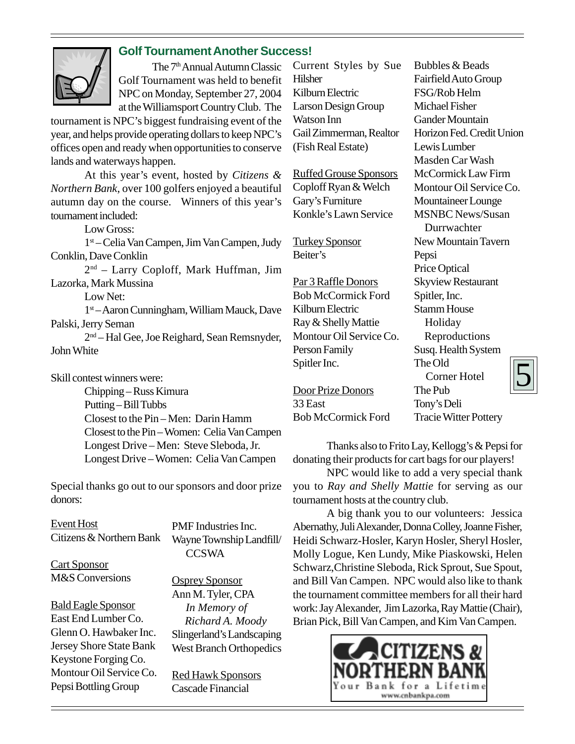

## **Golf Tournament Another Success!**

The 7<sup>th</sup> Annual Autumn Classic Golf Tournament was held to benefit NPC on Monday, September 27, 2004 at the Williamsport Country Club. The

tournament is NPC's biggest fundraising event of the year, and helps provide operating dollars to keep NPC's offices open and ready when opportunities to conserve lands and waterways happen.

At this year's event, hosted by *Citizens & Northern Bank*, over 100 golfers enjoyed a beautiful autumn day on the course. Winners of this year's tournament included:

Low Gross:

1st – Celia Van Campen, Jim Van Campen, Judy Conklin, Dave Conklin

2nd – Larry Coploff, Mark Huffman, Jim Lazorka, Mark Mussina

Low Net:

1st – Aaron Cunningham, William Mauck, Dave Palski, Jerry Seman

2nd – Hal Gee, Joe Reighard, Sean Remsnyder, John White

Skill contest winners were:

Chipping – Russ Kimura Putting – Bill Tubbs Closest to the Pin – Men: Darin Hamm Closest to the Pin – Women: Celia Van Campen Longest Drive – Men: Steve Sleboda, Jr. Longest Drive – Women: Celia Van Campen

Special thanks go out to our sponsors and door prize donors:

Event Host Citizens & Northern Bank

Cart Sponsor M&S Conversions

Bald Eagle Sponsor East End Lumber Co. Glenn O. Hawbaker Inc. Jersey Shore State Bank Keystone Forging Co. Montour Oil Service Co. Pepsi Bottling Group

PMF Industries Inc. Wayne Township Landfill/ **CCSWA** 

Osprey Sponsor Ann M. Tyler, CPA  *In Memory of Richard A. Moody* Slingerland's Landscaping West Branch Orthopedics

Red Hawk Sponsors Cascade Financial

Current Styles by Sue Hilsher Kilburn Electric Larson Design Group Watson Inn Gail Zimmerman, Realtor (Fish Real Estate)

Ruffed Grouse Sponsors Coploff Ryan & Welch Gary's Furniture Konkle's Lawn Service

Turkey Sponsor Beiter's

Par 3 Raffle Donors Bob McCormick Ford Kilburn Electric Ray & Shelly Mattie Montour Oil Service Co. Person Family Spitler Inc.

Door Prize Donors 33 East Bob McCormick Ford

5 Bubbles & Beads Fairfield Auto Group FSG/Rob Helm Michael Fisher Gander Mountain Horizon Fed. Credit Union Lewis Lumber Masden Car Wash McCormick Law Firm Montour Oil Service Co. Mountaineer Lounge MSNBC News/Susan Durrwachter New Mountain Tavern Pepsi Price Optical Skyview Restaurant Spitler, Inc. Stamm House Holiday Reproductions Susq. Health System The Old Corner Hotel The Pub Tony's Deli Tracie Witter Pottery

Thanks also to Frito Lay, Kellogg's & Pepsi for donating their products for cart bags for our players!

NPC would like to add a very special thank you to *Ray and Shelly Mattie* for serving as our tournament hosts at the country club.

A big thank you to our volunteers: Jessica Abernathy, Juli Alexander, Donna Colley, Joanne Fisher, Heidi Schwarz-Hosler, Karyn Hosler, Sheryl Hosler, Molly Logue, Ken Lundy, Mike Piaskowski, Helen Schwarz,Christine Sleboda, Rick Sprout, Sue Spout, and Bill Van Campen. NPC would also like to thank the tournament committee members for all their hard work: Jay Alexander, Jim Lazorka, Ray Mattie (Chair), Brian Pick, Bill Van Campen, and Kim Van Campen.